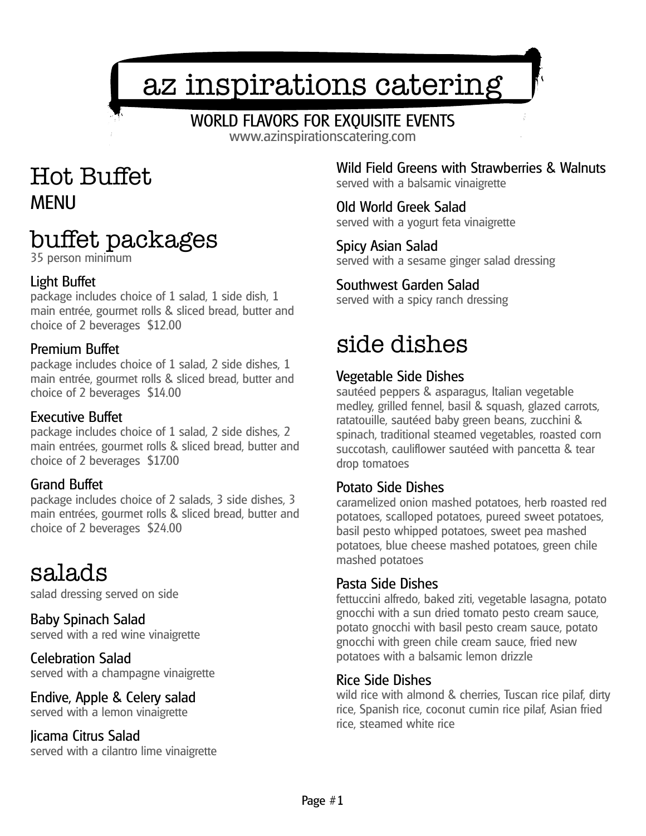# az inspirations catering

### WORLD FLAVORS FOR EXQUISITE EVENTS

www.azinspirationscatering.com

### Hot Buffet MENU

## buffet packages

35 person minimum

#### Light Buffet

package includes choice of 1 salad, 1 side dish, 1 main entrée, gourmet rolls & sliced bread, butter and choice of 2 beverages \$12.00

#### Premium Buffet

package includes choice of 1 salad, 2 side dishes, 1 main entrée, gourmet rolls & sliced bread, butter and choice of 2 beverages \$14.00

#### Executive Buffet

package includes choice of 1 salad, 2 side dishes, 2 main entrées, gourmet rolls & sliced bread, butter and choice of 2 beverages \$17.00

#### Grand Buffet

package includes choice of 2 salads, 3 side dishes, 3 main entrées, gourmet rolls & sliced bread, butter and choice of 2 beverages \$24.00

### salads

salad dressing served on side

Baby Spinach Salad served with a red wine vinaigrette

Celebration Salad served with a champagne vinaigrette

### Endive, Apple & Celery salad

served with a lemon vinaigrette

Jicama Citrus Salad served with a cilantro lime vinaigrette Wild Field Greens with Strawberries & Walnuts served with a balsamic vinaigrette

Old World Greek Salad served with a yogurt feta vinaigrette

Spicy Asian Salad served with a sesame ginger salad dressing

#### Southwest Garden Salad

served with a spicy ranch dressing

### side dishes

#### Vegetable Side Dishes

sautéed peppers & asparagus, Italian vegetable medley, grilled fennel, basil & squash, glazed carrots, ratatouille, sautéed baby green beans, zucchini & spinach, traditional steamed vegetables, roasted corn succotash, cauliflower sautéed with pancetta & tear drop tomatoes

#### Potato Side Dishes

caramelized onion mashed potatoes, herb roasted red potatoes, scalloped potatoes, pureed sweet potatoes, basil pesto whipped potatoes, sweet pea mashed potatoes, blue cheese mashed potatoes, green chile mashed potatoes

#### Pasta Side Dishes

fettuccini alfredo, baked ziti, vegetable lasagna, potato gnocchi with a sun dried tomato pesto cream sauce, potato gnocchi with basil pesto cream sauce, potato gnocchi with green chile cream sauce, fried new potatoes with a balsamic lemon drizzle

#### Rice Side Dishes

wild rice with almond & cherries, Tuscan rice pilaf, dirty rice, Spanish rice, coconut cumin rice pilaf, Asian fried rice, steamed white rice